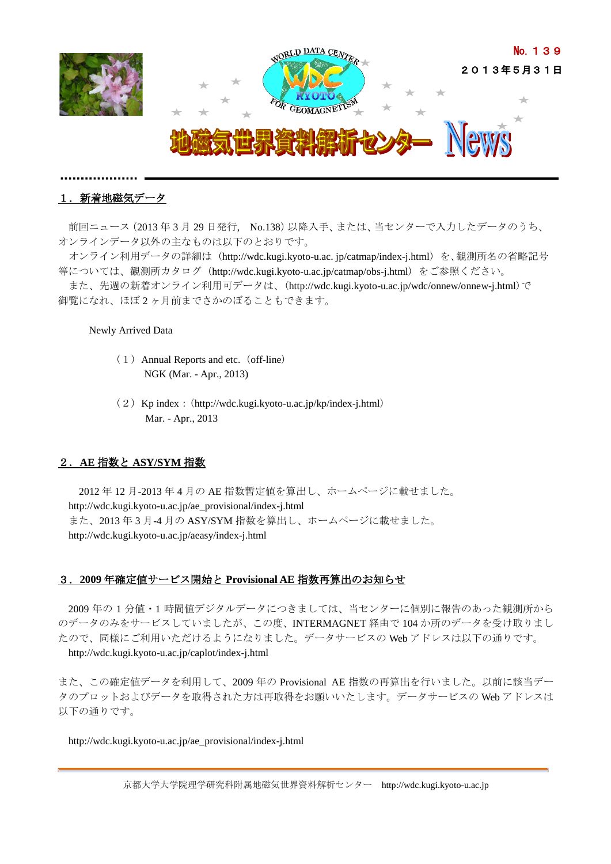

# 1. 新着地磁気データ

前回ニュース(2013 年 3 月 29 日発行, No.138)以降入手、または、当センターで入力したデータのうち、 オンラインデータ以外の主なものは以下のとおりです。

オンライン利用データの詳細は (http://wdc.kugi.kyoto-u.ac. jp/catmap/index-j.html) を、観測所名の省略記号 等については、観測所カタログ (http://wdc.kugi.kyoto-u.ac.jp/catmap/obs-j.html) をご参照ください。

また、先週の新着オンライン利用可データは、(http://wdc.kugi.kyoto-u.ac.jp/wdc/onnew/onnew-j.html)で 御覧になれ、ほぼ 2 ヶ月前までさかのぼることもできます。

### Newly Arrived Data

- $(1)$  Annual Reports and etc. (off-line) NGK (Mar. - Apr., 2013)
- (2) Kp index: (<http://wdc.kugi.kyoto-u.ac.jp/kp/index-j.html>) Mar. - Apr., 2013

## 2.**AE** 指数と **ASY/SYM** 指数

2012 年 12 月-2013 年 4 月の AE 指数暫定値を算出し、ホームページに載せました。 http://wdc.kugi.kyoto-u.ac.jp/ae\_provisional/index-j.html また、2013 年 3 月-4 月の ASY/SYM 指数を算出し、ホームページに載せました。 http://wdc.kugi.kyoto-u.ac.jp/aeasy/index-j.html

# 3.**2009** 年確定値サービス開始と **Provisional AE** 指数再算出のお知らせ

2009 年の 1 分値・1 時間値デジタルデータにつきましては、当センターに個別に報告のあった観測所から のデータのみをサービスしていましたが、この度、INTERMAGNET 経由で 104 か所のデータを受け取りまし たので、同様にご利用いただけるようになりました。データサービスの Web アドレスは以下の通りです。 http://wdc.kugi.kyoto-u.ac.jp/caplot/index-j.html

また、この確定値データを利用して、2009 年の Provisional AE 指数の再算出を行いました。以前に該当デー タのプロットおよびデータを取得された方は再取得をお願いいたします。データサービスの Web アドレスは 以下の通りです。

http://wdc.kugi.kyoto-u.ac.jp/ae\_provisional/index-j.html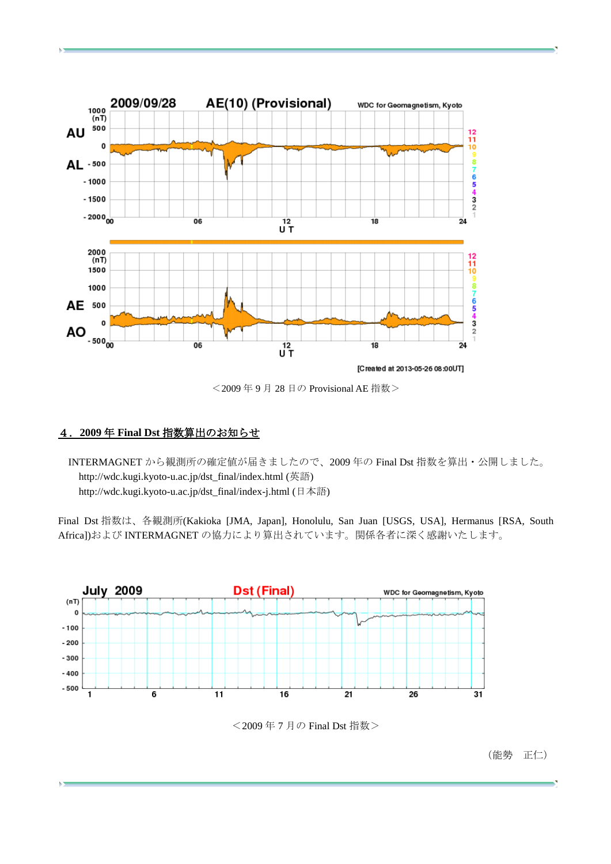

<2009 年 9 月 28 日の Provisional AE 指数>

# 4.**2009** 年 **Final Dst** 指数算出のお知らせ

INTERMAGNET から観測所の確定値が届きましたので、2009 年の Final Dst 指数を算出・公開しました。 http://wdc.kugi.kyoto-u.ac.jp/dst\_final/index.html (英語) http://wdc.kugi.kyoto-u.ac.jp/dst\_final/index-j.html (日本語)

Final Dst 指数は、各観測所(Kakioka [JMA, Japan], Honolulu, San Juan [USGS, USA], Hermanus [RSA, South Africa])および INTERMAGNET の協力により算出されています。関係各者に深く感謝いたします。



<2009 年 7 月の Final Dst 指数>

(能勢 正仁)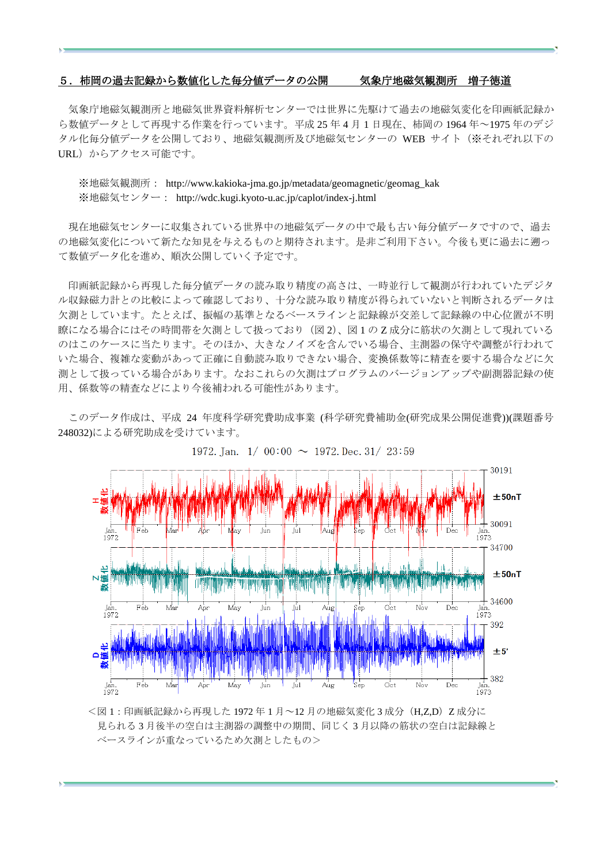#### 5.柿岡の過去記録から数値化した毎分値データの公開 気象庁地磁気観測所 増子徳道

気象庁地磁気観測所と地磁気世界資料解析センターでは世界に先駆けて過去の地磁気変化を印画紙記録か ら数値データとして再現する作業を行っています。平成 25 年 4 月 1 日現在、柿岡の 1964 年~1975 年のデジ タル化毎分値データを公開しており、地磁気観測所及び地磁気センターの WEB サイト(※それぞれ以下の URL)からアクセス可能です。

※地磁気観測所: http://www.kakioka-jma.go.jp/metadata/geomagnetic/geomag\_kak ※地磁気センター: http://wdc.kugi.kyoto-u.ac.jp/caplot/index-j.html

現在地磁気センターに収集されている世界中の地磁気データの中で最も古い毎分値データですので、過去 の地磁気変化について新たな知見を与えるものと期待されます。是非ご利用下さい。今後も更に過去に遡っ て数値データ化を進め、順次公開していく予定です。

印画紙記録から再現した毎分値データの読み取り精度の高さは、一時並行して観測が行われていたデジタ ル収録磁力計との比較によって確認しており、十分な読み取り精度が得られていないと判断されるデータは 欠測としています。たとえば、振幅の基準となるベースラインと記録線が交差して記録線の中心位置が不明 瞭になる場合にはその時間帯を欠測として扱っており(図 2)、図 1 の Z 成分に筋状の欠測として現れている のはこのケースに当たります。そのほか、大きなノイズを含んでいる場合、主測器の保守や調整が行われて いた場合、複雑な変動があって正確に自動読み取りできない場合、変換係数等に精査を要する場合などに欠 測として扱っている場合があります。なおこれらの欠測はプログラムのバージョンアップや副測器記録の使 用、係数等の精査などにより今後補われる可能性があります。

このデータ作成は、平成 24 年度科学研究費助成事業 (科学研究費補助金(研究成果公開促進費))(課題番号 248032)による研究助成を受けています。



1972. Jan.  $1/00:00 \sim 1972$ . Dec. 31/23:59

<図1:印画紙記録から再現した 1972年1月~12月の地磁気変化3成分(H,Z,D)Z 成分に 見られる 3 月後半の空白は主測器の調整中の期間、同じく 3 月以降の筋状の空白は記録線と ベースラインが重なっているため欠測としたもの>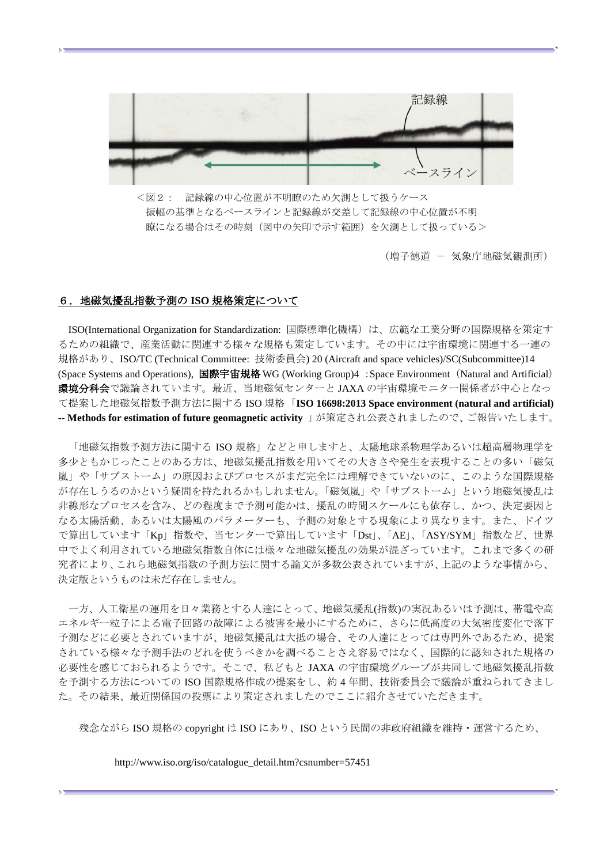

<図2: 記録線の中心位置が不明瞭のため欠測として扱うケース 振幅の基準となるベースラインと記録線が交差して記録線の中心位置が不明 瞭になる場合はその時刻(図中の矢印で示す範囲)を欠測として扱っている>

(増子徳道 - 気象庁地磁気観測所)

#### 6.地磁気擾乱指数予測の **ISO** 規格策定について

ISO(International Organization for Standardization: 国際標準化機構)は、広範な工業分野の国際規格を策定す るための組織で、産業活動に関連する様々な規格も策定しています。その中には宇宙環境に関連する一連の 規格があり、ISO/TC (Technical Committee: 技術委員会) 20 (Aircraft and space vehicles)/SC(Subcommittee)14 (Space Systems and Operations), 国際宇宙規格 WG (Working Group)4 :Space Environment (Natural and Artificial) 環境分科会で議論されています。最近、当地磁気センターと JAXA の宇宙環境モニター関係者が中心となっ て提案した地磁気指数予測方法に関する ISO 規格「**ISO 16698:2013 Space environment (natural and artificial) -- Methods for estimation of future geomagnetic activity** 」が策定され公表されましたので、ご報告いたします。

「地磁気指数予測方法に関する ISO 規格」などと申しますと、太陽地球系物理学あるいは超高層物理学を 多少ともかじったことのある方は、地磁気擾乱指数を用いてその大きさや発生を表現することの多い「磁気 嵐」や「サブストーム」の原因およびプロセスがまだ完全には理解できていないのに、このような国際規格 が存在しうるのかという疑問を持たれるかもしれません。「磁気嵐」や「サブストーム」という地磁気擾乱は 非線形なプロセスを含み、どの程度まで予測可能かは、擾乱の時間スケールにも依存し、かつ、決定要因と なる太陽活動、あるいは太陽風のパラメーターも、予測の対象とする現象により異なります。また、ドイツ で算出しています「Kp」指数や、当センターで算出しています「Dst」、「AE」、「ASY/SYM」指数など、世界 中でよく利用されている地磁気指数自体には様々な地磁気擾乱の効果が混ざっています。これまで多くの研 究者により、これら地磁気指数の予測方法に関する論文が多数公表されていますが、上記のような事情から、 決定版というものは未だ存在しません。

一方、人工衛星の運用を日々業務とする人達にとって、地磁気擾乱(指数)の実況あるいは予測は、帯電や高 エネルギー粒子による電子回路の故障による被害を最小にするために、さらに低高度の大気密度変化で落下 予測などに必要とされていますが、地磁気擾乱は大抵の場合、その人達にとっては専門外であるため、提案 されている様々な予測手法のどれを使うべきかを調べることさえ容易ではなく、国際的に認知された規格の 必要性を感じておられるようです。そこで、私どもと JAXA の宇宙環境グループが共同して地磁気擾乱指数 を予測する方法についての ISO 国際規格作成の提案をし、約 4 年間、技術委員会で議論が重ねられてきまし た。その結果、最近関係国の投票により策定されましたのでここに紹介させていただきます。

残念ながら ISO 規格の copyright は ISO にあり、ISO という民間の非政府組織を維持・運営するため、

http://www.iso.org/iso/catalogue\_detail.htm?csnumber=57451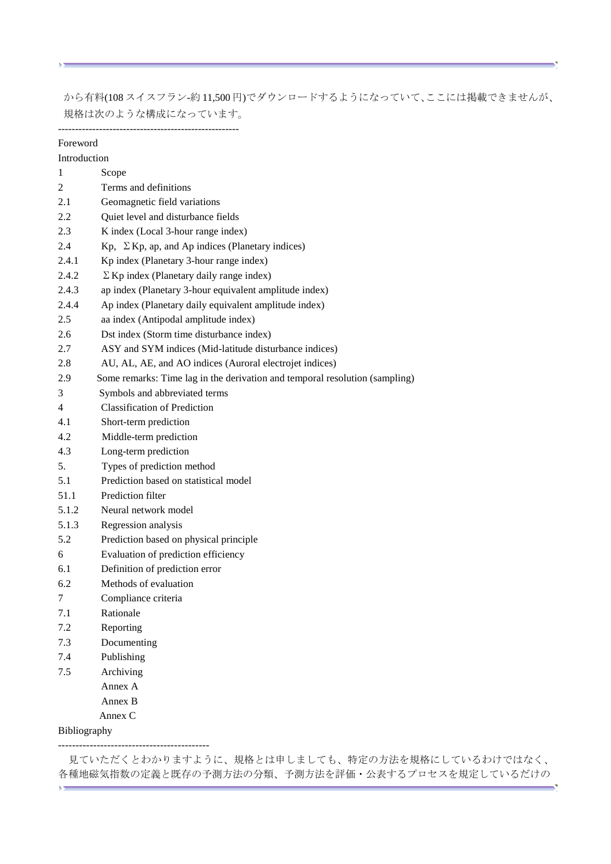から有料(108 スイスフラン-約 11,500 円)でダウンロードするようになっていて、ここには掲載できませんが、 規格は次のような構成になっています。

 $\overline{a}$ 

| Foreword       |                                                                             |
|----------------|-----------------------------------------------------------------------------|
| Introduction   |                                                                             |
| 1              | Scope                                                                       |
| $\overline{c}$ | Terms and definitions                                                       |
| 2.1            | Geomagnetic field variations                                                |
| 2.2            | Quiet level and disturbance fields                                          |
| 2.3            | K index (Local 3-hour range index)                                          |
| 2.4            | Kp, $\Sigma$ Kp, ap, and Ap indices (Planetary indices)                     |
| 2.4.1          | Kp index (Planetary 3-hour range index)                                     |
| 2.4.2          | $\Sigma$ Kp index (Planetary daily range index)                             |
| 2.4.3          | ap index (Planetary 3-hour equivalent amplitude index)                      |
| 2.4.4          | Ap index (Planetary daily equivalent amplitude index)                       |
| 2.5            | aa index (Antipodal amplitude index)                                        |
| 2.6            | Dst index (Storm time disturbance index)                                    |
| 2.7            | ASY and SYM indices (Mid-latitude disturbance indices)                      |
| 2.8            | AU, AL, AE, and AO indices (Auroral electrojet indices)                     |
| 2.9            | Some remarks: Time lag in the derivation and temporal resolution (sampling) |
| 3              | Symbols and abbreviated terms                                               |
| 4              | <b>Classification of Prediction</b>                                         |
| 4.1            | Short-term prediction                                                       |
| 4.2            | Middle-term prediction                                                      |
| 4.3            | Long-term prediction                                                        |
| 5.             | Types of prediction method                                                  |
| 5.1            | Prediction based on statistical model                                       |
| 51.1           | Prediction filter                                                           |
| 5.1.2          | Neural network model                                                        |
| 5.1.3          | Regression analysis                                                         |
| 5.2            | Prediction based on physical principle                                      |
| 6              | Evaluation of prediction efficiency                                         |
| 6.1            | Definition of prediction error                                              |
| 6.2            | Methods of evaluation                                                       |
| $\tau$         | Compliance criteria                                                         |
| 7.1            | Rationale                                                                   |
| 7.2            | Reporting                                                                   |
| 7.3            | Documenting                                                                 |
| 7.4            | Publishing                                                                  |
| 7.5            | Archiving                                                                   |
|                | Annex A                                                                     |
|                | Annex B                                                                     |
|                | Annex C                                                                     |
| Bibliography   |                                                                             |

-------------------------------------------

K5

見ていただくとわかりますように、規格とは申しましても、特定の方法を規格にしているわけではなく、 各種地磁気指数の定義と既存の予測方法の分類、予測方法を評価・公表するプロセスを規定しているだけの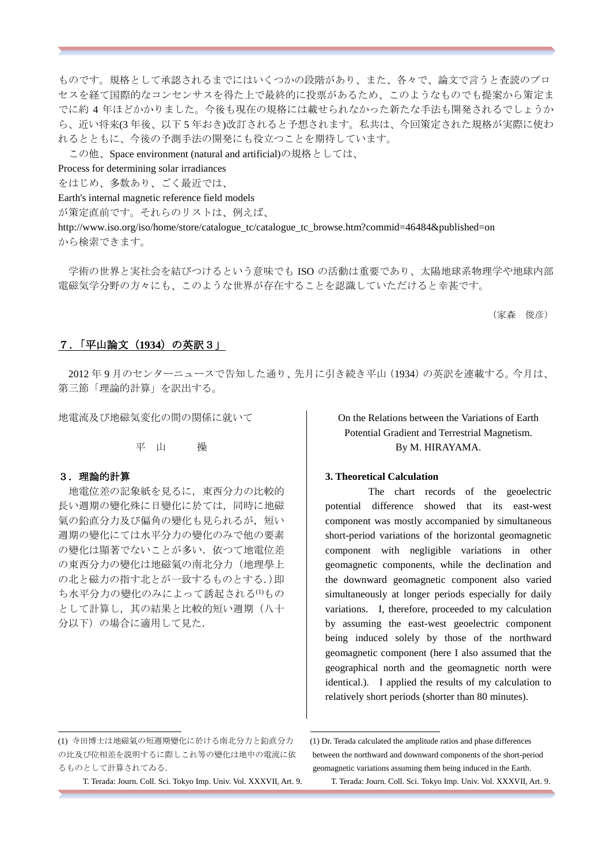ものです。規格として承認されるまでにはいくつかの段階があり、また、各々で、論文で言うと査読のプロ セスを経て国際的なコンセンサスを得た上で最終的に投票があるため、このようなものでも提案から策定ま でに約 4 年ほどかかりました。今後も現在の規格には載せられなかった新たな手法も開発されるでしょうか ら、近い将来(3 年後、以下 5 年おき)改訂されると予想されます。私共は、今回策定された規格が実際に使わ れるとともに、今後の予測手法の開発にも役立つことを期待しています。

この他、Space environment (natural and artificial)の規格としては、

Process for determining solar irradiances

をはじめ、多数あり、ごく最近では、

Earth's internal magnetic reference field models

が策定直前です。それらのリストは、例えば、

http://www.iso.org/iso/home/store/catalogue\_tc/catalogue\_tc\_browse.htm?commid=46484&published=on から検索できます。

学術の世界と実社会を結びつけるという意味でも ISO の活動は重要であり、太陽地球系物理学や地球内部 電磁気学分野の方々にも、このような世界が存在することを認識していただけると幸甚です。

(家森 俊彦)

### 7.「平山論文(**1934**)の英訳3」

2012 年 9 月のセンターニュースで告知した通り、先月に引き続き平山(1934)の英訳を連載する。今月は、 第三節「理論的計算」を訳出する。

地電流及び地磁気変化の間の関係に就いて

#### 平 山 操

# 3.理論的計算

 $\overline{a}$ 

地電位差の記象紙を見るに,東西分力の比較的 長い週期の變化殊に日變化に於ては,同時に地磁 氣の鉛直分力及び偏角の變化も見られるが、短い 週期の變化にては水平分力の變化のみで他の要素 の變化は顯著でないことが多い. 依つて地雷位差 の東西分力の變化は地磁氣の南北分力(地理學上 の北と磁力の指す北とが一致するものとする.)即 ち水平分力の變化のみによって誘起される(1)もの として計算し,其の結果と比較的短い週期(八十 分以下)の場合に適用して見た.

On the Relations between the Variations of Earth Potential Gradient and Terrestrial Magnetism. By M. HIRAYAMA.

### **3. Theoretical Calculation**

The chart records of the geoelectric potential difference showed that its east-west component was mostly accompanied by simultaneous short-period variations of the horizontal geomagnetic component with negligible variations in other geomagnetic components, while the declination and the downward geomagnetic component also varied simultaneously at longer periods especially for daily variations. I, therefore, proceeded to my calculation by assuming the east-west geoelectric component being induced solely by those of the northward geomagnetic component (here I also assumed that the geographical north and the geomagnetic north were identical.). I applied the results of my calculation to relatively short periods (shorter than 80 minutes).

T. Terada: Journ. Coll. Sci. Tokyo Imp. Univ. Vol. XXXVII, Art. 9. T. Terada: Journ. Coll. Sci. Tokyo Imp. Univ. Vol. XXXVII, Art. 9.

<sup>(1)</sup> 寺田博士は地磁氣の短週期變化に於ける南北分力と鉛直分力 (1) Dr. Terada calculated the amplitude ratios and phase differences の比及び位相差を説明するに際しこれ等の變化は地中の電流に依 between the northward and downward components of the short-period るものとして計算されてゐる. geomagnetic variations assuming them being induced in the Earth.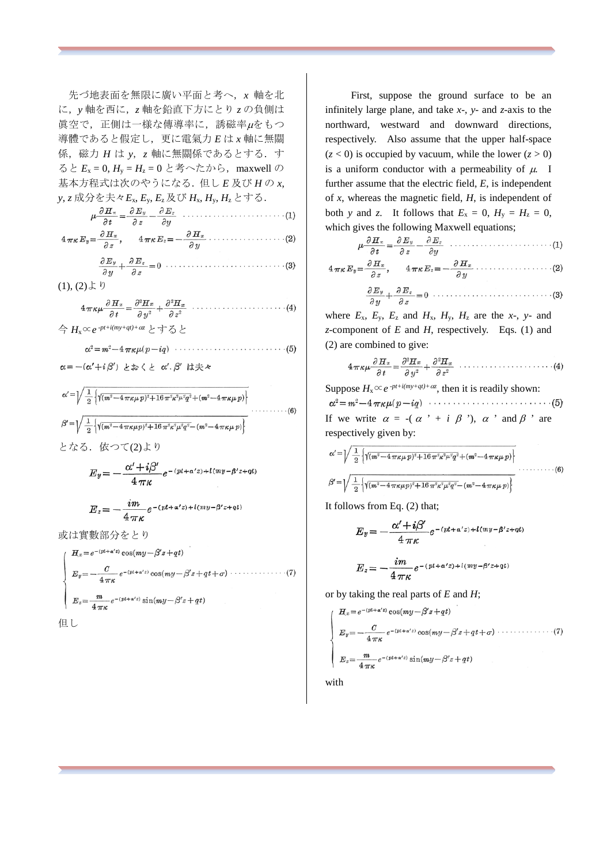先づ地表面を無限に廣い平面と考へ,*x* 軸を北 に,*y* 軸を西に,*z* 軸を鉛直下方にとり *z* の負側は 眞空で,正側は一様な傳導率に,誘磁率µをもつ 導體であると假定し,更に電氣力 *E* は *x* 軸に無關 係,磁力 *H* は *y*,*z* 軸に無關係であるとする.す ると  $E_x = 0$ ,  $H_y = H_z = 0$  と考へたから, maxwell の 基本方程式は次のやうになる.但し *E* 及び *H* の *x*, *y*, *z* 成分を夫々*E*x, *E*y, *E*<sup>z</sup> 及び *H*x, *H*y, *H*zとする.

| $\frac{1}{2}$ , $\frac{1}{2}$ , $\frac{1}{2}$ , $\frac{1}{2}$ , $\frac{1}{2}$ , $\frac{1}{2}$ , $\frac{1}{2}$ , $\frac{1}{2}$ , $\frac{1}{2}$ , $\frac{1}{2}$ , $\frac{1}{2}$ , $\frac{1}{2}$ , $\frac{1}{2}$ , $\frac{1}{2}$ , $\frac{1}{2}$ , $\frac{1}{2}$ , $\frac{1}{2}$ , $\frac{1}{2}$ , $\frac{1}{2}$ , $\frac{1}{2}$ , |
|---------------------------------------------------------------------------------------------------------------------------------------------------------------------------------------------------------------------------------------------------------------------------------------------------------------------------------|
|                                                                                                                                                                                                                                                                                                                                 |
| $4\pi\kappa E_y = \frac{\partial H_x}{\partial z}, \qquad 4\pi\kappa E_z = -\frac{\partial H_x}{\partial y} \cdots \cdots \cdots \cdots \cdots \cdots (2)$                                                                                                                                                                      |
|                                                                                                                                                                                                                                                                                                                                 |

$$
\frac{\partial y}{\partial x} + \frac{\partial z}{\partial z} = 0 \tag{1}, (2) \downarrow b
$$

$$
4\pi\kappa\mu\frac{\partial H_x}{\partial t} = \frac{\partial^2 H_x}{\partial y^2} + \frac{\partial^2 H_x}{\partial z^2} \quad \cdots \quad \cdots \quad \cdots \quad \cdots \quad (4)
$$

今 *H*x∝*e -pt+i(my+qt)+*α*<sup>z</sup>* とすると

$$
\alpha = -(\alpha' + i\beta') \iff \zeta \geq \alpha'.\beta' \iff \gamma
$$

$$
\alpha' = \sqrt{\frac{1}{2} \left\{ \sqrt{(m^2 - 4 \pi \kappa \mu p)^2 + 16 \pi^2 \kappa^2 \mu^2 q^2} + (m^2 - 4 \pi \kappa \mu p) \right\}}{\beta' = \sqrt{\frac{1}{2} \left\{ \sqrt{(m^2 - 4 \pi \kappa \mu p)^2 + 16 \pi^2 \kappa^2 \mu^2 q^2} - (m^2 - 4 \pi \kappa \mu p) \right\}}} \tag{6}
$$

となる. 依つて(2)より

$$
E_y = -\frac{\alpha' + i\beta'}{4\pi\kappa} e^{-(pt + \alpha'z) + i(my - \beta'z + qt)}
$$

$$
E_z = -\frac{im}{4\,\pi\kappa}e^{-(pt+\alpha'z) + i(my-\beta'z+qt)}
$$

或は實數部分をとり

$$
\begin{cases}\nH_x = e^{-(pt+a'z)} \cos(my-\beta'z+qt) \\
E_y = -\frac{C}{4\pi\kappa} e^{-(pt+a'z)} \cos(my-\beta'z+qt+\sigma) \cdots \cdots \cdots \cdots \cdots (7) \\
E_z = \frac{m}{4\pi\kappa} e^{-(pt+a'z)} \sin(my-\beta'z+qt)\n\end{cases}
$$

但し

 First, suppose the ground surface to be an infinitely large plane, and take *x*-, *y*- and *z*-axis to the northward, westward and downward directions, respectively. Also assume that the upper half-space  $(z < 0)$  is occupied by vacuum, while the lower  $(z > 0)$ is a uniform conductor with a permeability of  $\mu$ . I further assume that the electric field, *E*, is independent of *x*, whereas the magnetic field, *H*, is independent of both *y* and *z*. It follows that  $E_x = 0$ ,  $H_y = H_z = 0$ , which gives the following Maxwell equations;

where  $E_x$ ,  $E_y$ ,  $E_z$  and  $H_x$ ,  $H_y$ ,  $H_z$  are the *x*-, *y*- and *z*-component of *E* and *H*, respectively. Eqs. (1) and (2) are combined to give:

$$
4\pi\kappa\mu\frac{\partial H_x}{\partial t} = \frac{\partial^2 H_x}{\partial y^2} + \frac{\partial^2 H_x}{\partial z^2} \quad \cdots \quad \cdots \quad \cdots \quad \cdots \quad (4)
$$

Suppose  $H_x \propto e^{-pt + i(my + qt) + \alpha z}$ , then it is readily shown:  $\alpha^2 = m^2 - 4 \pi \kappa \mu (p - iq) \cdots \cdots \cdots \cdots \cdots \cdots \cdots (5)$ If we write  $\alpha = -(\alpha' + i \beta')$ ,  $\alpha'$  and  $\beta'$  are respectively given by:

$$
\alpha' = \sqrt{\frac{1}{2} \left\{ \sqrt{(m^2 - 4 \pi \kappa \mu p)^2 + 16 \pi^2 \kappa^2 \mu^2 q^2 + (m^2 - 4 \pi \kappa \mu p) \right\}} \dots \dots \dots \dots (6)
$$
  

$$
\beta' = \sqrt{\frac{1}{2} \left\{ \sqrt{(m^2 - 4 \pi \kappa \mu p)^2 + 16 \pi^2 \kappa^2 \mu^2 q^2 - (m^2 - 4 \pi \kappa \mu p) \right\}} \dots \dots \dots (6)
$$

It follows from Eq. (2) that;

$$
E_y = -\frac{\alpha' + i\beta'}{4\pi\kappa} e^{-(pt + \alpha'z) + i(my - \beta'z + qt)}
$$

$$
E_z = -\frac{im}{4\pi\kappa}e^{-(pt+\alpha'z) + i(my-\beta'z+qt)}
$$

or by taking the real parts of *E* and *H*;

 $H_x\!=\!e^{-(pt+\alpha'z)}\cos(my\!-\!\beta'z\!+\!qt)$  $E_y = -\frac{C}{4\pi\kappa} e^{-(pt+a^2)} \cos(my-\beta^2 z+qt+\sigma) \cdots$  (7)

$$
E_z = \frac{m}{4\pi\kappa} e^{-(pt+\alpha'z)} \sin(my-\beta'z+qt)
$$

with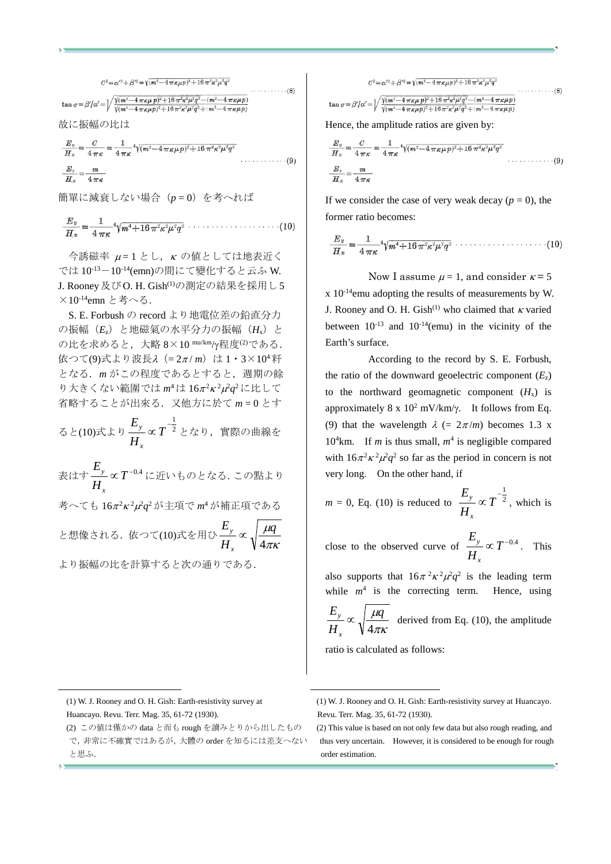$$
C^{2} = \alpha'^{2} + \beta'^{2} = \sqrt{(m^{2} - 4\pi\kappa\mu p)^{2} + 16\pi^{2}\kappa^{2}\mu^{2}q^{2}}
$$
  
\n
$$
\tan \sigma = \beta'/\alpha' = \sqrt{\frac{\sqrt{(m^{2} - 4\pi\kappa\mu p)^{2} + 16\pi^{2}\kappa^{2}\mu^{2}q^{2} - (m^{2} - 4\pi\kappa\mu p)}}{\sqrt{(m^{2} - 4\pi\kappa\mu p)^{2} + 16\pi^{2}\kappa^{2}\mu^{2}q^{2} + (m^{2} - 4\pi\kappa\mu p)}}
$$
  
\n
$$
\text{iv. } \overline{\text{E}}_{\text{m}} \overline{\text{m}} \text{O} \text{E}_{\text{m}} \text{E}_{\text{m}}
$$
\n
$$
E_{\text{m}} \qquad C \qquad 1 \qquad \text{or} \qquad 1 \qquad \text{or} \qquad 1 \qquad \text{or} \qquad 1 \qquad \text{or} \qquad 1 \qquad \text{or} \qquad 1 \qquad \text{or} \qquad 1 \qquad \text{or} \qquad 1 \qquad \text{or} \qquad 1 \qquad \text{or} \qquad 1 \qquad \text{or} \qquad 1 \qquad \text{or} \qquad 1 \qquad \text{or} \qquad 1 \qquad \text{or} \qquad 1 \qquad \text{or} \qquad 1 \qquad \text{or} \qquad 1 \qquad \text{or} \qquad 1 \qquad \text{or} \qquad 1 \qquad \text{or} \qquad 1 \qquad \text{or} \qquad 1 \qquad \text{or} \qquad 1 \qquad \text{or} \qquad 1 \qquad \text{or} \qquad 1 \qquad \text{or} \qquad 1 \qquad \text{or} \qquad 1 \qquad \text{or} \qquad 1 \qquad \text{or} \qquad 1 \qquad \text{or} \qquad 1 \qquad \text{or} \qquad 1 \qquad \text{or} \qquad 1 \qquad \text{or} \qquad 1 \qquad \text{or} \qquad 1 \qquad \text{or} \qquad 1 \qquad \text{or} \qquad 1 \qquad \text{or} \qquad 1 \qquad \text{or} \qquad 1 \q
$$

$$
\frac{E_z}{H_x} = \frac{1}{4\pi\kappa} = \frac{1}{4\pi\kappa} \sqrt{(m^2 - 4\pi\kappa\mu p)^2 + 16\pi^2\kappa^2\mu^2 q^2}
$$
\n
$$
\frac{E_z}{H_x} = \frac{m}{4\pi\kappa}
$$
\n(9)

簡單に減衰しない場合 (p = 0) を考へれば

$$
\frac{E_y}{H_x} = \frac{1}{4\,\pi\kappa} 4\sqrt{m^4 + 16\,\pi^2\kappa^2\mu^2q^2} \cdots \cdots \cdots \cdots \cdots (10)
$$

 $\triangleq$ 誘磁率  $\mu = 1$  とし,  $\kappa$  の値としては地表近く では 10-13-10-14(emn)の間にて變化すると云ふ W. J. Rooney及び O. H. Gish(1)の測定の結果を採用し 5 ×10-14emn と考へる.

S. E. Forbush の record より地電位差の鉛直分力 の振幅(*E*z)と地磁氣の水平分力の振幅(*H*x)と の比を求めると,大略 8×10 mu/km/y程度<sup>(2)</sup>である. 依つて(9)式より波長λ (= 2π/m)は 1·3×10<sup>4</sup> 粁 となる.*m* がこの程度であるとすると,週期の餘 り大きくない範圍では *m*<sup>4</sup>は 16π<sup>2</sup>κ<sup>2</sup>μ<sup>2</sup>q<sup>2</sup>に比して 省略することが出來る.又他方に於て *m* = 0 とす

ると(10)式より $\frac{-y}{\sqrt{2}} \propto T^{-2}$  $\frac{1}{2}$ ∝ *T H E x* <mark>y</mark> ∝T<sup>−2</sup>となり, 實際の曲線を

表はす $\frac{L_y}{L_x}$   $\propto$   $T^{-0.4}$ *H E x y* ∝  $T^{−0.4}$ に近いものとなる. この點より 考へても 16π<sup>2</sup> <sup>κ</sup>2 µ2 *q*<sup>2</sup> が主項で *m*<sup>4</sup> が補正項である µ *q E <sup>y</sup>* ∝

と想像される.依つて(10)式を用ひ $\frac{y}{H} \propto \sqrt{\frac{\mu q}{4\pi\kappa}}$ 

4

*H*

*x*

より振幅の比を計算すると次の通りである.

#### $C^2 = \alpha'^2 + \beta'^2 = \sqrt{(m^2 - 4\pi\kappa\mu p)^2 + 16\pi^2\kappa^2\mu^2 q^2}$

$$
\sigma = \beta'/\alpha' = \sqrt{\frac{\sqrt{(m^2 - 4\pi\kappa\mu p)^2 + 16\pi^2\kappa^2\mu^2 q^2} - (m^2 - 4\pi\kappa\mu p)}}{\sqrt{(m^2 - 4\pi\kappa\mu p)^2 + 16\pi^2\kappa^2\mu^2 q^2} + (m^2 - 4\pi\kappa\mu p)}
$$

 $\cdots \cdots \cdots$ 

Hence, the amplitude ratios are given by:

tan

$$
\frac{E_y}{H_x} = \frac{C}{4\pi\kappa} = \frac{1}{4\pi\kappa} 4\sqrt{(m^2 - 4\pi\kappa\mu p)^2 + 16\pi^2\kappa^2\mu^2 q^2}
$$
\n
$$
\frac{E_z}{H_x} = \frac{m}{4\pi\kappa}
$$
\n(9)

If we consider the case of very weak decay  $(p = 0)$ , the former ratio becomes:

$$
\frac{E_y}{H_x} = \frac{1}{4\pi\kappa} 4\sqrt{m^4 + 16\pi^2\kappa^2\mu^2q^2} \cdots \cdots \cdots \cdots \cdots \cdots (10)
$$

Now I assume  $\mu = 1$ , and consider  $\kappa = 5$  $x 10^{-14}$ emu adopting the results of measurements by W. J. Rooney and O. H. Gish<sup>(1)</sup> who claimed that  $\kappa$  varied between  $10^{-13}$  and  $10^{-14}$ (emu) in the vicinity of the Earth's surface.

According to the record by S. E. Forbush, the ratio of the downward geoelectric component  $(E_z)$ to the northward geomagnetic component  $(H_x)$  is approximately 8 x  $10<sup>2</sup>$  mV/km/γ. It follows from Eq. (9) that the wavelength  $\lambda$  (=  $2\pi/m$ ) becomes 1.3 x 10<sup>4</sup> km. If *m* is thus small,  $m<sup>4</sup>$  is negligible compared with  $16\pi^2 \kappa^2 \mu^2 q^2$  so far as the period in concern is not very long. On the other hand, if

$$
m = 0
$$
, Eq. (10) is reduced to  $\frac{E_y}{H_x} \propto T^{-\frac{1}{2}}$ , which is

close to the observed curve of  $\frac{E_y}{\sigma} \propto T^{-0.4}$ *H E x*  $\frac{y}{x} \propto T^{-0.4}$ . This

also supports that  $16\pi^2 \kappa^2 \mu^2 q^2$  is the leading term while  $m<sup>4</sup>$  is the correcting term. Hence, using *q E*

πκ µ 4 *H x*  $\frac{y}{x} \propto \sqrt{\frac{\mu q}{\mu}}$  derived from Eq. (10), the amplitude

ratio is calculated as follows:

 $\overline{a}$ 

Huancayo. Revu. Terr. Mag. 35, 61-72 (1930). Revu. Terr. Mag. 35, 61-72 (1930).

<sup>(2)</sup> この値は僅かの data と而も rough を讀みとりから出したもの (2) This value is based on not only few data but also rough reading, and と思ふ. ということには、このことを見ることを思うと思うと思う。

<sup>(1)</sup> W. J. Rooney and O. H. Gish: Earth-resistivity survey at (1) W. J. Rooney and O. H. Gish: Earth-resistivity survey at Huancayo.

で,非常に不確實ではあるが,大體の order を知るには差支へない
thus very uncertain. However, it is considered to be enough for rough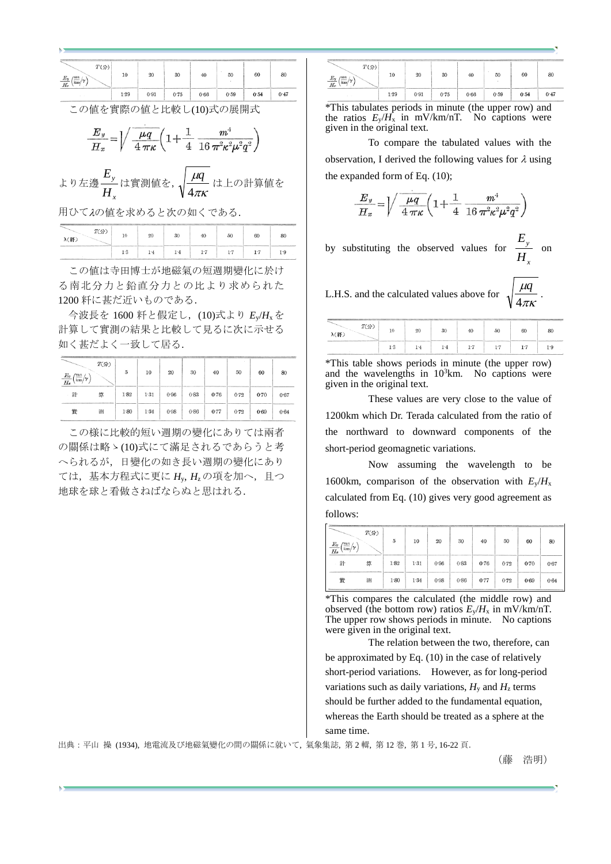| $T$ (分)<br>$\frac{E_y}{H_x}\left(\frac{\text{mu}}{\text{km}}\middle/\gamma\right)$                                                                              | 10   | 20   | 30   | 40   | 50   | 60   | 80   |  |  |  |
|-----------------------------------------------------------------------------------------------------------------------------------------------------------------|------|------|------|------|------|------|------|--|--|--|
|                                                                                                                                                                 | 1:29 | 0.91 | 0.75 | 0.66 | 0.59 | 0.54 | 0.47 |  |  |  |
| この値を實際の値と比較し(10)式の展開式<br>$\frac{E_y}{H_x} = \left\sqrt{\frac{\mu q}{4 \pi \kappa} \left(1 + \frac{1}{4} \frac{m^3}{16 \pi^2 \kappa^2 \mu^2 q^2}\right)}\right.$ |      |      |      |      |      |      |      |  |  |  |
| より左邊 <sup><u> ヒ</u></sup> 」は實測値を, 1 $\frac{\mu q}{\mu}$ は上の計算値を                                                                                                 |      |      |      |      |      |      |      |  |  |  |

*x H* πκ 4

用ひてλの値を求めると次の如くである.

| T(f)<br>λ(粁) | 20      | 30 | 40  | 50<br>The property state of the U.S. Property Products | 60<br>___ | 80 |
|--------------|---------|----|-----|--------------------------------------------------------|-----------|----|
|              | $1 - 4$ | 14 | 1.7 | $1 - 7$                                                |           |    |

この値は寺田博士が地磁氣の短週期變化に於け る南北分力と鉛直分力との比より求められた 1200 粁に甚だ近いものである.

今波長を 1600 粁と假定し,(10)式より *E*y/*H*xを 計算して實測の結果と比較して見るに次に示せる 如く甚だよく一致して居る.

| $\frac{E_y}{H_x} \Big(\!\frac{\text{mn}}{\text{k}\text{m}}\!\Big/\!\gamma\Big)$ | $T($ 分 $)$ | 5    | 10   | 20   | 30   | 40   | 50   | 60   | 80   |
|---------------------------------------------------------------------------------|------------|------|------|------|------|------|------|------|------|
| 計                                                                               | 算          | 1.82 | 1:31 | 0.96 | 0.83 | 0.76 | 0.72 | 0.70 | 0.67 |
| 霬                                                                               | 测          | 1.80 | 1.34 | 0.98 | 0.86 | 0.77 | 0.72 | 0.69 | 0.64 |

この様に比較的短い週期の變化にありては兩者 の關係は略ゝ(10)式にて滿足されるであらうと考 へられるが,日變化の如き長い週期の變化にあり ては,基本方程式に更に *H*y, *H*<sup>z</sup> の項を加へ,且つ 地球を球と看做さねばならぬと思はれる.

|                                                                   |      |             |      |      |      |      | <b>CONTRACTOR</b> |
|-------------------------------------------------------------------|------|-------------|------|------|------|------|-------------------|
| $T$ (分)<br>$E_y$<br>$m$ u<br>$\sim$<br>$\tilde{ }$<br>km<br>$H_x$ | 10   | 20          | 30   | 40   | 50   | 60   | 80                |
| $\sim$<br>$\sim$                                                  | 1.29 | ___<br>0.91 | 0.75 | 0.66 | 0.59 | 0.54 | 0.47              |

\*This tabulates periods in minute (the upper row) and the ratios  $E_v/H_x$  in mV/km/nT. No captions were given in the original text.

To compare the tabulated values with the observation, I derived the following values for  $\lambda$  using the expanded form of Eq. (10);

$$
\frac{E_y}{H_x} = \left\{ \sqrt{\frac{\mu q}{4 \pi \kappa}} \left( 1 + \frac{1}{4} \frac{m^4}{16 \pi^2 \kappa^2 \mu^2 q^2} \right) \right\}
$$

by substituting the observed values for *x y H E* on

L.H.S. and the calculated values above for  $\sqrt{\frac{HT}{4\pi\kappa}}$  $\mu$ 4 *q* .

| T(f)<br>λ(粁) | and the state state of the party of the country and the party of the | 20          | The most dealer state in the company of the company of the company of the company of the company of the company of the company of the company of the company of the company's design to design a distribution of the company's<br>30 | 40 | THE RESIDENCE COURSE CONFIDENTIAL CONTINUES ON A RESIDENCE OF A RESIDENCE OF A RESIDENCE OF A RESIDENCE OF A RESIDENCE OF A RESIDENCE OF A RESIDENCE OF A RESIDENCE OF A RESIDENCE OF A RESIDENCE OF A RESIDENCE OF A RESIDENC<br>50<br>the company's company's product to the | 60<br>______ | 80 |
|--------------|----------------------------------------------------------------------|-------------|--------------------------------------------------------------------------------------------------------------------------------------------------------------------------------------------------------------------------------------|----|--------------------------------------------------------------------------------------------------------------------------------------------------------------------------------------------------------------------------------------------------------------------------------|--------------|----|
|              | 1:3                                                                  | $1 \cdot 4$ |                                                                                                                                                                                                                                      |    |                                                                                                                                                                                                                                                                                |              |    |

\*This table shows periods in minute (the upper row) and the wavelengths in  $10^3$ km. No captions were given in the original text.

These values are very close to the value of 1200km which Dr. Terada calculated from the ratio of the northward to downward components of the short-period geomagnetic variations.

Now assuming the wavelength to be 1600km, comparison of the observation with  $E_y/H_x$ calculated from Eq. (10) gives very good agreement as follows:

| $E_y$<br>/mn<br>-<br>$\overline{H_x}$<br>km/ | $T($ 分 $)$ | 5    | 10   | 20   | 30   | 40   | 50   | 60   | 80   |
|----------------------------------------------|------------|------|------|------|------|------|------|------|------|
| 計                                            | 算          | 1.82 | 1:31 | 0.96 | 0.83 | 0.76 | 0.72 | 0.70 | 0.67 |
| 霬                                            | 训          | 1.80 | 1.34 | 0.98 | 0.86 | 0.77 | 0.72 | 0.69 | 0.64 |

\*This compares the calculated (the middle row) and observed (the bottom row) ratios  $E_y/H_x$  in mV/km/nT. The upper row shows periods in minute. No captions were given in the original text.

The relation between the two, therefore, can be approximated by Eq. (10) in the case of relatively short-period variations. However, as for long-period variations such as daily variations,  $H_v$  and  $H_z$  terms should be further added to the fundamental equation, whereas the Earth should be treated as a sphere at the same time.

出典:平山 操 (1934), 地電流及び地磁氣變化の間の關係に就いて, 氣象集誌, 第 2 輯, 第 12 巻, 第 1 号, 16-22 頁.

(藤 浩明)